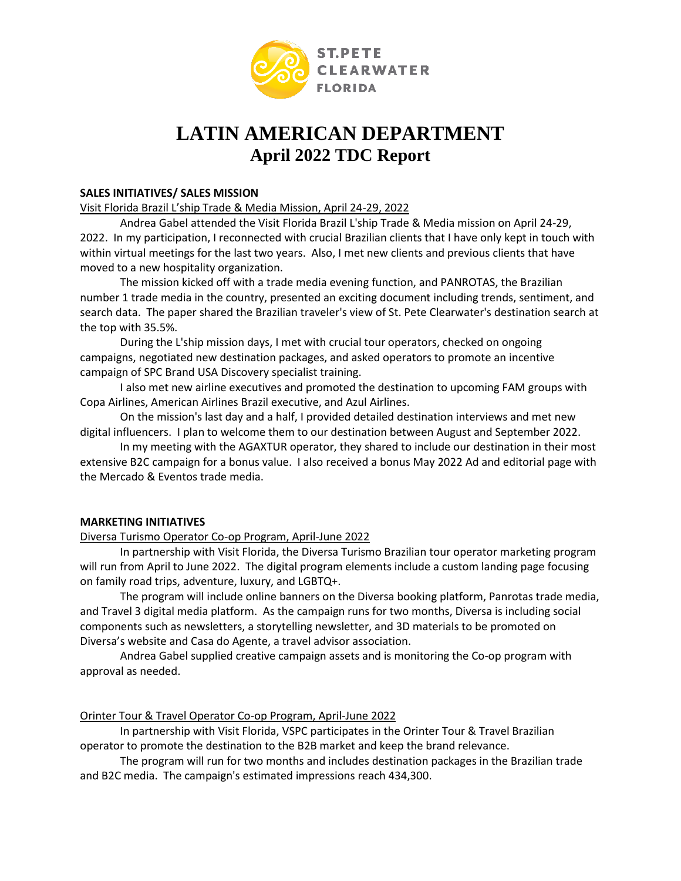

# **LATIN AMERICAN DEPARTMENT April 2022 TDC Report**

## **SALES INITIATIVES/ SALES MISSION**

## Visit Florida Brazil L'ship Trade & Media Mission, April 24-29, 2022

Andrea Gabel attended the Visit Florida Brazil L'ship Trade & Media mission on April 24-29, 2022. In my participation, I reconnected with crucial Brazilian clients that I have only kept in touch with within virtual meetings for the last two years. Also, I met new clients and previous clients that have moved to a new hospitality organization.

The mission kicked off with a trade media evening function, and PANROTAS, the Brazilian number 1 trade media in the country, presented an exciting document including trends, sentiment, and search data. The paper shared the Brazilian traveler's view of St. Pete Clearwater's destination search at the top with 35.5%.

During the L'ship mission days, I met with crucial tour operators, checked on ongoing campaigns, negotiated new destination packages, and asked operators to promote an incentive campaign of SPC Brand USA Discovery specialist training.

I also met new airline executives and promoted the destination to upcoming FAM groups with Copa Airlines, American Airlines Brazil executive, and Azul Airlines.

On the mission's last day and a half, I provided detailed destination interviews and met new digital influencers. I plan to welcome them to our destination between August and September 2022.

In my meeting with the AGAXTUR operator, they shared to include our destination in their most extensive B2C campaign for a bonus value. I also received a bonus May 2022 Ad and editorial page with the Mercado & Eventos trade media.

## **MARKETING INITIATIVES**

Diversa Turismo Operator Co-op Program, April-June 2022

In partnership with Visit Florida, the Diversa Turismo Brazilian tour operator marketing program will run from April to June 2022. The digital program elements include a custom landing page focusing on family road trips, adventure, luxury, and LGBTQ+.

The program will include online banners on the Diversa booking platform, Panrotas trade media, and Travel 3 digital media platform. As the campaign runs for two months, Diversa is including social components such as newsletters, a storytelling newsletter, and 3D materials to be promoted on Diversa's website and Casa do Agente, a travel advisor association.

Andrea Gabel supplied creative campaign assets and is monitoring the Co-op program with approval as needed.

Orinter Tour & Travel Operator Co-op Program, April-June 2022

In partnership with Visit Florida, VSPC participates in the Orinter Tour & Travel Brazilian operator to promote the destination to the B2B market and keep the brand relevance.

The program will run for two months and includes destination packages in the Brazilian trade and B2C media. The campaign's estimated impressions reach 434,300.